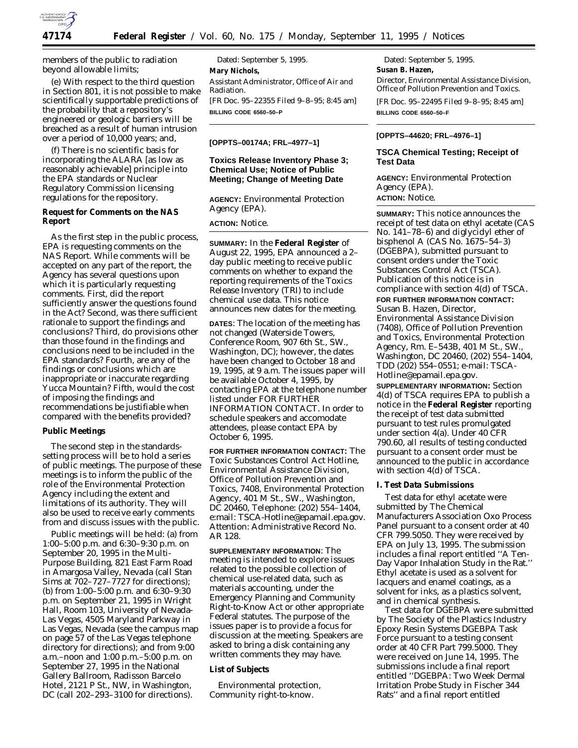

members of the public to radiation beyond allowable limits;

(e) With respect to the third question in Section 801, it is not possible to make scientifically supportable predictions of the probability that a repository's engineered or geologic barriers will be breached as a result of human intrusion over a period of 10,000 years; and,

(f) There is no scientific basis for incorporating the ALARA [as low as reasonably achievable] principle into the EPA standards or Nuclear Regulatory Commission licensing regulations for the repository.

# **Request for Comments on the NAS Report**

As the first step in the public process, EPA is requesting comments on the NAS Report. While comments will be accepted on any part of the report, the Agency has several questions upon which it is particularly requesting comments. First, did the report sufficiently answer the questions found in the Act? Second, was there sufficient rationale to support the findings and conclusions? Third, do provisions other than those found in the findings and conclusions need to be included in the EPA standards? Fourth, are any of the findings or conclusions which are inappropriate or inaccurate regarding Yucca Mountain? Fifth, would the cost of imposing the findings and recommendations be justifiable when compared with the benefits provided?

## **Public Meetings**

The second step in the standardssetting process will be to hold a series of public meetings. The purpose of these meetings is to inform the public of the role of the Environmental Protection Agency including the extent and limitations of its authority. They will also be used to receive early comments from and discuss issues with the public.

Public meetings will be held: (a) from 1:00–5:00 p.m. and 6:30–9:30 p.m. on September 20, 1995 in the Multi-Purpose Building, 821 East Farm Road in Amargosa Valley, Nevada (call Stan Sims at 702–727–7727 for directions); (b) from 1:00–5:00 p.m. and 6:30–9:30 p.m. on September 21, 1995 in Wright Hall, Room 103, University of Nevada-Las Vegas, 4505 Maryland Parkway in Las Vegas, Nevada (see the campus map on page 57 of the Las Vegas telephone directory for directions); and from 9:00 a.m.–noon and 1:00 p.m.–5:00 p.m. on September 27, 1995 in the National Gallery Ballroom, Radisson Barcelo Hotel, 2121 P St., NW, in Washington, DC (call 202–293–3100 for directions).

Dated: September 5, 1995. **Mary Nichols,** *Assistant Administrator, Office of Air and Radiation.* [FR Doc. 95–22355 Filed 9–8–95; 8:45 am] **BILLING CODE 6560–50–P**

#### **[OPPTS–00174A; FRL–4977–1]**

## **Toxics Release Inventory Phase 3; Chemical Use; Notice of Public Meeting; Change of Meeting Date**

**AGENCY:** Environmental Protection Agency (EPA).

### **ACTION:** Notice.

**SUMMARY:** In the **Federal Register** of August 22, 1995, EPA announced a 2– day public meeting to receive public comments on whether to expand the reporting requirements of the Toxics Release Inventory (TRI) to include chemical use data. This notice announces new dates for the meeting.

**DATES**: The location of the meeting has not changed (Waterside Towers, Conference Room, 907 6th St., SW., Washington, DC); however, the dates have been changed to October 18 and 19, 1995, at 9 a.m. The issues paper will be available October 4, 1995, by contacting EPA at the telephone number listed under FOR FURTHER INFORMATION CONTACT. In order to schedule speakers and accomodate attendees, please contact EPA by October 6, 1995.

**FOR FURTHER INFORMATION CONTACT:** The Toxic Substances Control Act Hotline, Environmental Assistance Division, Office of Pollution Prevention and Toxics, 7408, Environmental Protection Agency, 401 M St., SW., Washington, DC 20460, Telephone: (202) 554–1404, e:mail: TSCA-Hotline@epamail.epa.gov. Attention: Administrative Record No. AR 128.

**SUPPLEMENTARY INFORMATION**: The meeting is intended to explore issues related to the possible collection of chemical use-related data, such as materials accounting, under the Emergency Planning and Community Right-to-Know Act or other appropriate Federal statutes. The purpose of the issues paper is to provide a focus for discussion at the meeting. Speakers are asked to bring a disk containing any written comments they may have.

## **List of Subjects**

Environmental protection, Community right-to-know.

Dated: September 5, 1995. **Susan B. Hazen,**

*Director, Environmental Assistance Division, Office of Pollution Prevention and Toxics.*

[FR Doc. 95–22495 Filed 9–8–95; 8:45 am] **BILLING CODE 6560–50–F**

### **[OPPTS–44620; FRL–4976–1]**

### **TSCA Chemical Testing; Receipt of Test Data**

**AGENCY:** Environmental Protection Agency (EPA). **ACTION:** Notice.

**SUMMARY:** This notice announces the receipt of test data on ethyl acetate (CAS No. 141–78–6) and diglycidyl ether of bisphenol A (CAS No. 1675–54–3) (DGEBPA), submitted pursuant to consent orders under the Toxic Substances Control Act (TSCA). Publication of this notice is in compliance with section 4(d) of TSCA. **FOR FURTHER INFORMATION CONTACT:** Susan B. Hazen, Director, Environmental Assistance Division (7408), Office of Pollution Prevention and Toxics, Environmental Protection Agency, Rm. E–543B, 401 M St., SW., Washington, DC 20460, (202) 554–1404, TDD (202) 554–0551; e-mail: TSCA-

Hotline@epamail.epa.gov.

**SUPPLEMENTARY INFORMATION:** Section 4(d) of TSCA requires EPA to publish a notice in the **Federal Register** reporting the receipt of test data submitted pursuant to test rules promulgated under section 4(a). Under 40 CFR 790.60, all results of testing conducted pursuant to a consent order must be announced to the public in accordance with section 4(d) of TSCA.

#### **I. Test Data Submissions**

Test data for ethyl acetate were submitted by The Chemical Manufacturers Association Oxo Process Panel pursuant to a consent order at 40 CFR 799.5050. They were received by EPA on July 13, 1995. The submission includes a final report entitled ''A Ten-Day Vapor Inhalation Study in the Rat.'' Ethyl acetate is used as a solvent for lacquers and enamel coatings, as a solvent for inks, as a plastics solvent, and in chemical synthesis.

Test data for DGEBPA were submitted by The Society of the Plastics Industry Epoxy Resin Systems DGEBPA Task Force pursuant to a testing consent order at 40 CFR Part 799.5000. They were received on June 14, 1995. The submissions include a final report entitled ''DGEBPA: Two Week Dermal Irritation Probe Study in Fischer 344 Rats'' and a final report entitled